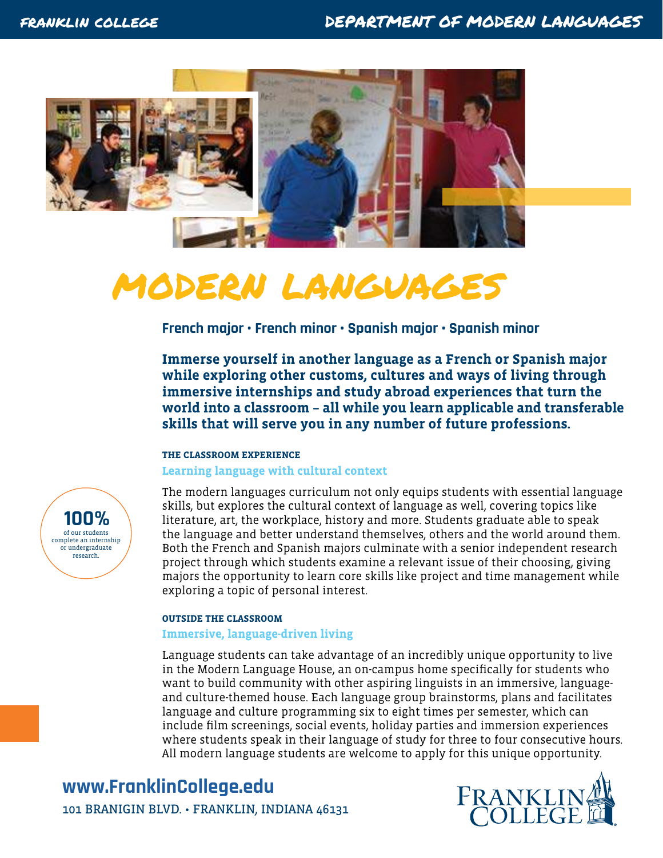

# modern languages

**French major • French minor • Spanish major • Spanish minor** 

**Immerse yourself in another language as a French or Spanish major while exploring other customs, cultures and ways of living through immersive internships and study abroad experiences that turn the world into a classroom – all while you learn applicable and transferable skills that will serve you in any number of future professions.** 

#### **THE CLASSROOM EXPERIENCE**

#### **Learning language with cultural context**

The modern languages curriculum not only equips students with essential language skills, but explores the cultural context of language as well, covering topics like literature, art, the workplace, history and more. Students graduate able to speak the language and better understand themselves, others and the world around them. Both the French and Spanish majors culminate with a senior independent research project through which students examine a relevant issue of their choosing, giving majors the opportunity to learn core skills like project and time management while exploring a topic of personal interest.

#### **OUTSIDE THE CLASSROOM**

#### **Immersive, language-driven living**

Language students can take advantage of an incredibly unique opportunity to live in the Modern Language House, an on-campus home specifically for students who want to build community with other aspiring linguists in an immersive, languageand culture-themed house. Each language group brainstorms, plans and facilitates language and culture programming six to eight times per semester, which can include film screenings, social events, holiday parties and immersion experiences where students speak in their language of study for three to four consecutive hours. All modern language students are welcome to apply for this unique opportunity.